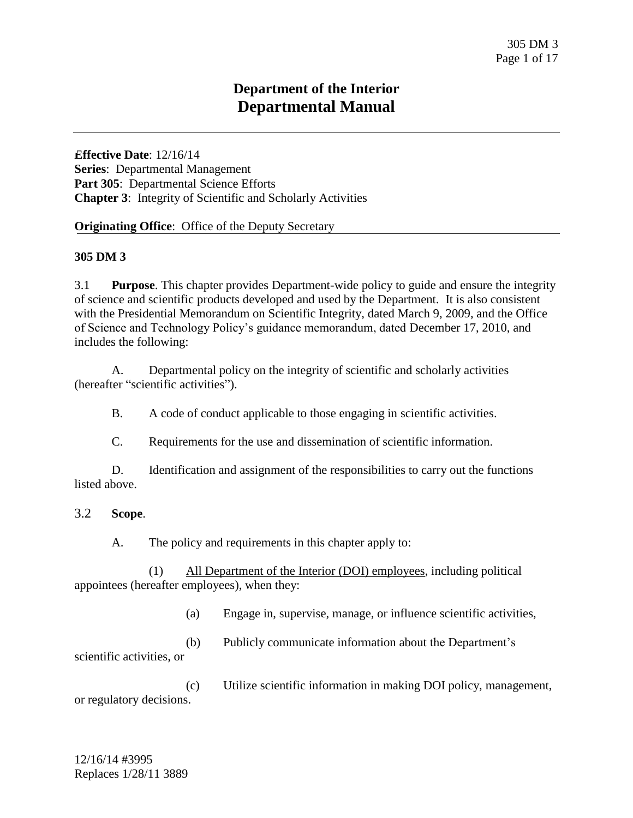# **Department of the Interior Departmental Manual**

**Effective Date**: 12/16/14 **Series**: Departmental Management Part 305: Departmental Science Efforts **Chapter 3**: Integrity of Scientific and Scholarly Activities

#### **Originating Office:** Office of the Deputy Secretary

#### **305 DM 3**

3.1 **Purpose**. This chapter provides Department-wide policy to guide and ensure the integrity of science and scientific products developed and used by the Department. It is also consistent with the Presidential Memorandum on Scientific Integrity, dated March 9, 2009, and the Office of Science and Technology Policy's guidance memorandum, dated December 17, 2010, and includes the following:

A. Departmental policy on the integrity of scientific and scholarly activities (hereafter "scientific activities").

B. A code of conduct applicable to those engaging in scientific activities.

C. Requirements for the use and dissemination of scientific information.

D. Identification and assignment of the responsibilities to carry out the functions listed above.

#### 3.2 **Scope**.

A. The policy and requirements in this chapter apply to:

(1) All Department of the Interior (DOI) employees, including political appointees (hereafter employees), when they:

(a) Engage in, supervise, manage, or influence scientific activities,

(b) Publicly communicate information about the Department's scientific activities, or

(c) Utilize scientific information in making DOI policy, management, or regulatory decisions.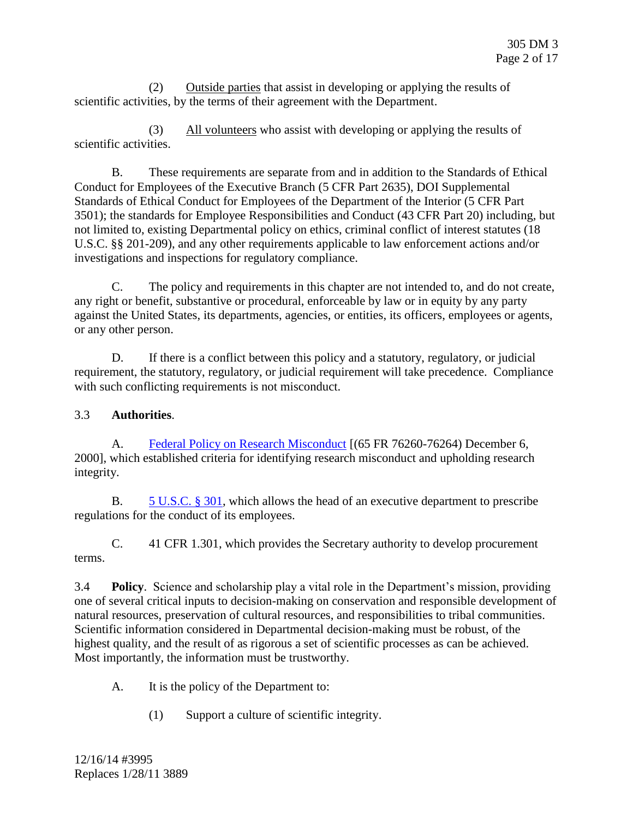(2) Outside parties that assist in developing or applying the results of scientific activities, by the terms of their agreement with the Department.

(3) All volunteers who assist with developing or applying the results of scientific activities.

B. These requirements are separate from and in addition to the Standards of Ethical Conduct for Employees of the Executive Branch (5 CFR Part 2635), DOI Supplemental Standards of Ethical Conduct for Employees of the Department of the Interior (5 CFR Part 3501); the standards for Employee Responsibilities and Conduct (43 CFR Part 20) including, but not limited to, existing Departmental policy on ethics, criminal conflict of interest statutes (18 U.S.C. §§ 201-209), and any other requirements applicable to law enforcement actions and/or investigations and inspections for regulatory compliance.

C. The policy and requirements in this chapter are not intended to, and do not create, any right or benefit, substantive or procedural, enforceable by law or in equity by any party against the United States, its departments, agencies, or entities, its officers, employees or agents, or any other person.

D. If there is a conflict between this policy and a statutory, regulatory, or judicial requirement, the statutory, regulatory, or judicial requirement will take precedence. Compliance with such conflicting requirements is not misconduct.

# 3.3 **Authorities**.

A. [Federal Policy on Research Misconduct](http://www.gpo.gov/fdsys/pkg/FR-2000-12-06/html/00-30852.htm) [(65 FR 76260-76264) December 6, 2000], which established criteria for identifying research misconduct and upholding research integrity.

B.  $5 \text{ U.S.C. } § 301$ , which allows the head of an executive department to prescribe regulations for the conduct of its employees.

C. 41 CFR 1.301, which provides the Secretary authority to develop procurement terms.

3.4 **Policy**. Science and scholarship play a vital role in the Department's mission, providing one of several critical inputs to decision-making on conservation and responsible development of natural resources, preservation of cultural resources, and responsibilities to tribal communities. Scientific information considered in Departmental decision-making must be robust, of the highest quality, and the result of as rigorous a set of scientific processes as can be achieved. Most importantly, the information must be trustworthy.

- A. It is the policy of the Department to:
	- (1) Support a culture of scientific integrity.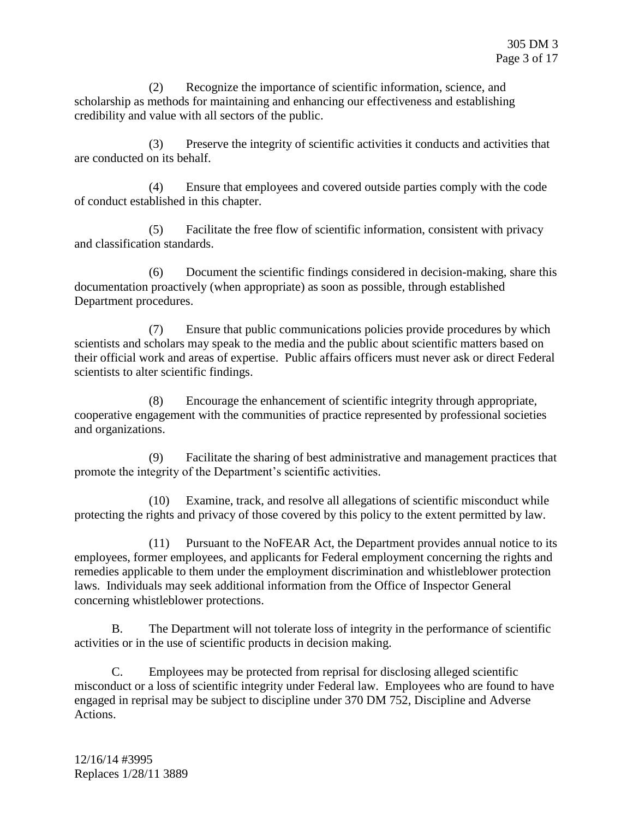(2) Recognize the importance of scientific information, science, and scholarship as methods for maintaining and enhancing our effectiveness and establishing credibility and value with all sectors of the public.

(3) Preserve the integrity of scientific activities it conducts and activities that are conducted on its behalf.

(4) Ensure that employees and covered outside parties comply with the code of conduct established in this chapter.

(5) Facilitate the free flow of scientific information, consistent with privacy and classification standards.

(6) Document the scientific findings considered in decision-making, share this documentation proactively (when appropriate) as soon as possible, through established Department procedures.

(7) Ensure that public communications policies provide procedures by which scientists and scholars may speak to the media and the public about scientific matters based on their official work and areas of expertise. Public affairs officers must never ask or direct Federal scientists to alter scientific findings.

(8) Encourage the enhancement of scientific integrity through appropriate, cooperative engagement with the communities of practice represented by professional societies and organizations.

(9) Facilitate the sharing of best administrative and management practices that promote the integrity of the Department's scientific activities.

(10) Examine, track, and resolve all allegations of scientific misconduct while protecting the rights and privacy of those covered by this policy to the extent permitted by law.

(11) Pursuant to the NoFEAR Act, the Department provides annual notice to its employees, former employees, and applicants for Federal employment concerning the rights and remedies applicable to them under the employment discrimination and whistleblower protection laws. Individuals may seek additional information from the Office of Inspector General concerning whistleblower protections.

B. The Department will not tolerate loss of integrity in the performance of scientific activities or in the use of scientific products in decision making.

C. Employees may be protected from reprisal for disclosing alleged scientific misconduct or a loss of scientific integrity under Federal law. Employees who are found to have engaged in reprisal may be subject to discipline under 370 DM 752, Discipline and Adverse Actions.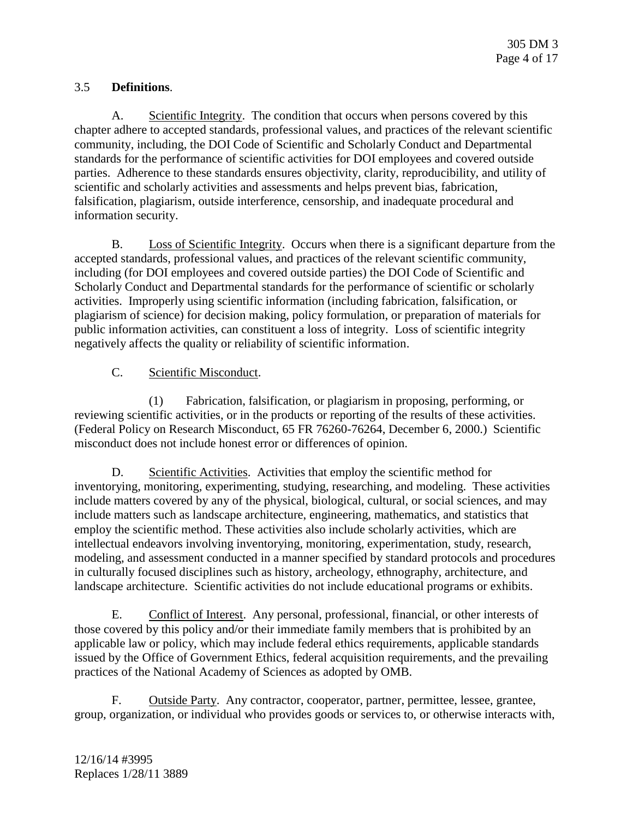# 3.5 **Definitions**.

A. Scientific Integrity. The condition that occurs when persons covered by this chapter adhere to accepted standards, professional values, and practices of the relevant scientific community, including, the DOI Code of Scientific and Scholarly Conduct and Departmental standards for the performance of scientific activities for DOI employees and covered outside parties. Adherence to these standards ensures objectivity, clarity, reproducibility, and utility of scientific and scholarly activities and assessments and helps prevent bias, fabrication, falsification, plagiarism, outside interference, censorship, and inadequate procedural and information security.

B. Loss of Scientific Integrity. Occurs when there is a significant departure from the accepted standards, professional values, and practices of the relevant scientific community, including (for DOI employees and covered outside parties) the DOI Code of Scientific and Scholarly Conduct and Departmental standards for the performance of scientific or scholarly activities. Improperly using scientific information (including fabrication, falsification, or plagiarism of science) for decision making, policy formulation, or preparation of materials for public information activities, can constituent a loss of integrity. Loss of scientific integrity negatively affects the quality or reliability of scientific information.

## C. Scientific Misconduct.

(1) Fabrication, falsification, or plagiarism in proposing, performing, or reviewing scientific activities, or in the products or reporting of the results of these activities. (Federal Policy on Research Misconduct, 65 FR 76260-76264, December 6, 2000.) Scientific misconduct does not include honest error or differences of opinion.

D. Scientific Activities. Activities that employ the scientific method for inventorying, monitoring, experimenting, studying, researching, and modeling. These activities include matters covered by any of the physical, biological, cultural, or social sciences, and may include matters such as landscape architecture, engineering, mathematics, and statistics that employ the scientific method. These activities also include scholarly activities, which are intellectual endeavors involving inventorying, monitoring, experimentation, study, research, modeling, and assessment conducted in a manner specified by standard protocols and procedures in culturally focused disciplines such as history, archeology, ethnography, architecture, and landscape architecture. Scientific activities do not include educational programs or exhibits.

E. Conflict of Interest. Any personal, professional, financial, or other interests of those covered by this policy and/or their immediate family members that is prohibited by an applicable law or policy, which may include federal ethics requirements, applicable standards issued by the Office of Government Ethics, federal acquisition requirements, and the prevailing practices of the National Academy of Sciences as adopted by OMB.

F. Outside Party. Any contractor, cooperator, partner, permittee, lessee, grantee, group, organization, or individual who provides goods or services to, or otherwise interacts with,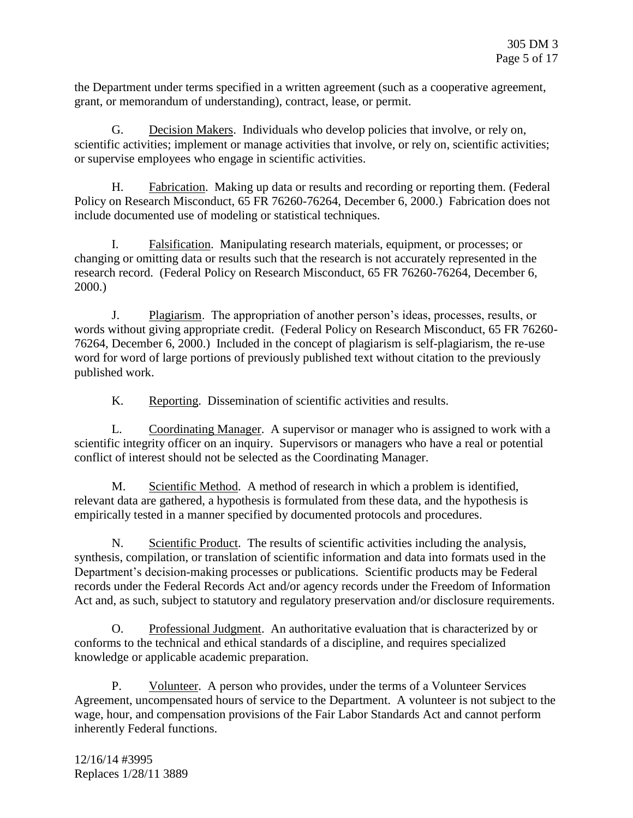the Department under terms specified in a written agreement (such as a cooperative agreement, grant, or memorandum of understanding), contract, lease, or permit.

G. Decision Makers. Individuals who develop policies that involve, or rely on, scientific activities; implement or manage activities that involve, or rely on, scientific activities; or supervise employees who engage in scientific activities.

H. Fabrication. Making up data or results and recording or reporting them. (Federal Policy on Research Misconduct, 65 FR 76260-76264, December 6, 2000.) Fabrication does not include documented use of modeling or statistical techniques.

I. Falsification. Manipulating research materials, equipment, or processes; or changing or omitting data or results such that the research is not accurately represented in the research record. (Federal Policy on Research Misconduct, 65 FR 76260-76264, December 6, 2000.)

J. Plagiarism. The appropriation of another person's ideas, processes, results, or words without giving appropriate credit. (Federal Policy on Research Misconduct, 65 FR 76260- 76264, December 6, 2000.) Included in the concept of plagiarism is self-plagiarism, the re-use word for word of large portions of previously published text without citation to the previously published work.

K. Reporting. Dissemination of scientific activities and results.

L. Coordinating Manager. A supervisor or manager who is assigned to work with a scientific integrity officer on an inquiry. Supervisors or managers who have a real or potential conflict of interest should not be selected as the Coordinating Manager.

M. Scientific Method. A method of research in which a problem is identified, relevant data are gathered, a hypothesis is formulated from these data, and the hypothesis is empirically tested in a manner specified by documented protocols and procedures.

N. Scientific Product. The results of scientific activities including the analysis, synthesis, compilation, or translation of scientific information and data into formats used in the Department's decision-making processes or publications. Scientific products may be Federal records under the Federal Records Act and/or agency records under the Freedom of Information Act and, as such, subject to statutory and regulatory preservation and/or disclosure requirements.

O. Professional Judgment. An authoritative evaluation that is characterized by or conforms to the technical and ethical standards of a discipline, and requires specialized knowledge or applicable academic preparation.

P. Volunteer. A person who provides, under the terms of a Volunteer Services Agreement, uncompensated hours of service to the Department. A volunteer is not subject to the wage, hour, and compensation provisions of the Fair Labor Standards Act and cannot perform inherently Federal functions.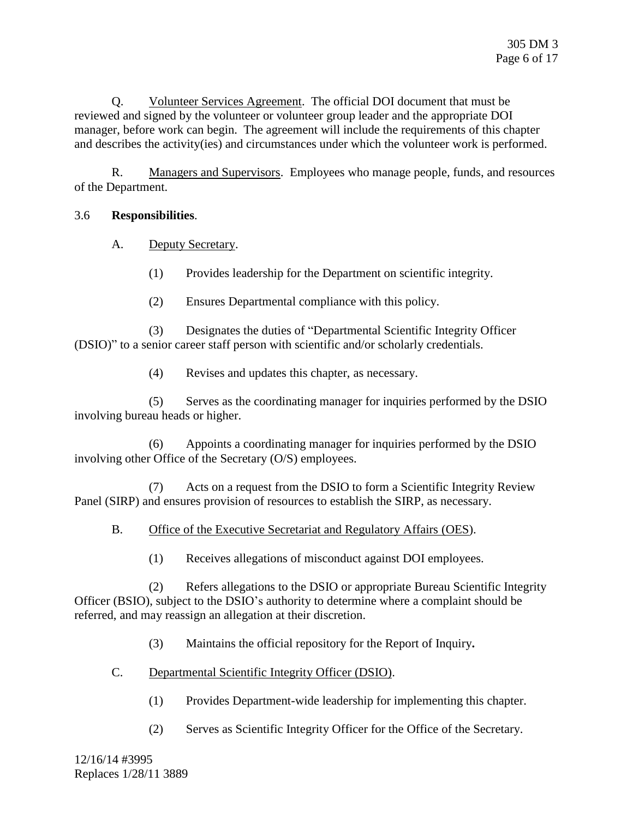Q. Volunteer Services Agreement. The official DOI document that must be reviewed and signed by the volunteer or volunteer group leader and the appropriate DOI manager, before work can begin. The agreement will include the requirements of this chapter and describes the activity(ies) and circumstances under which the volunteer work is performed.

R. Managers and Supervisors. Employees who manage people, funds, and resources of the Department.

### 3.6 **Responsibilities**.

- A. Deputy Secretary.
	- (1) Provides leadership for the Department on scientific integrity.
	- (2) Ensures Departmental compliance with this policy.

(3) Designates the duties of "Departmental Scientific Integrity Officer (DSIO)" to a senior career staff person with scientific and/or scholarly credentials.

(4) Revises and updates this chapter, as necessary.

(5) Serves as the coordinating manager for inquiries performed by the DSIO involving bureau heads or higher.

(6) Appoints a coordinating manager for inquiries performed by the DSIO involving other Office of the Secretary (O/S) employees.

(7) Acts on a request from the DSIO to form a Scientific Integrity Review Panel (SIRP) and ensures provision of resources to establish the SIRP, as necessary.

### B. Office of the Executive Secretariat and Regulatory Affairs (OES).

(1) Receives allegations of misconduct against DOI employees.

(2) Refers allegations to the DSIO or appropriate Bureau Scientific Integrity Officer (BSIO), subject to the DSIO's authority to determine where a complaint should be referred, and may reassign an allegation at their discretion.

(3) Maintains the official repository for the Report of Inquiry**.**

- C. Departmental Scientific Integrity Officer (DSIO).
	- (1) Provides Department-wide leadership for implementing this chapter.
	- (2) Serves as Scientific Integrity Officer for the Office of the Secretary.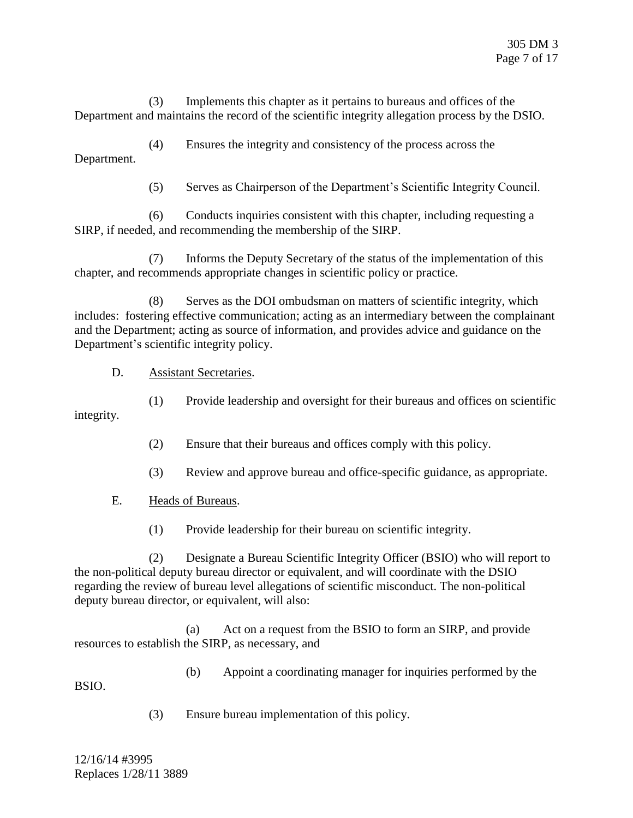(3) Implements this chapter as it pertains to bureaus and offices of the Department and maintains the record of the scientific integrity allegation process by the DSIO.

(4) Ensures the integrity and consistency of the process across the Department.

(5) Serves as Chairperson of the Department's Scientific Integrity Council.

(6) Conducts inquiries consistent with this chapter, including requesting a SIRP, if needed, and recommending the membership of the SIRP.

(7) Informs the Deputy Secretary of the status of the implementation of this chapter, and recommends appropriate changes in scientific policy or practice.

(8) Serves as the DOI ombudsman on matters of scientific integrity, which includes: fostering effective communication; acting as an intermediary between the complainant and the Department; acting as source of information, and provides advice and guidance on the Department's scientific integrity policy.

D. Assistant Secretaries.

(1) Provide leadership and oversight for their bureaus and offices on scientific integrity.

- (2) Ensure that their bureaus and offices comply with this policy.
- (3) Review and approve bureau and office-specific guidance, as appropriate.
- E. Heads of Bureaus.
	- (1) Provide leadership for their bureau on scientific integrity.

(2) Designate a Bureau Scientific Integrity Officer (BSIO) who will report to the non-political deputy bureau director or equivalent, and will coordinate with the DSIO regarding the review of bureau level allegations of scientific misconduct. The non-political deputy bureau director, or equivalent, will also:

(a) Act on a request from the BSIO to form an SIRP, and provide resources to establish the SIRP, as necessary, and

BSIO.

(b) Appoint a coordinating manager for inquiries performed by the

(3) Ensure bureau implementation of this policy.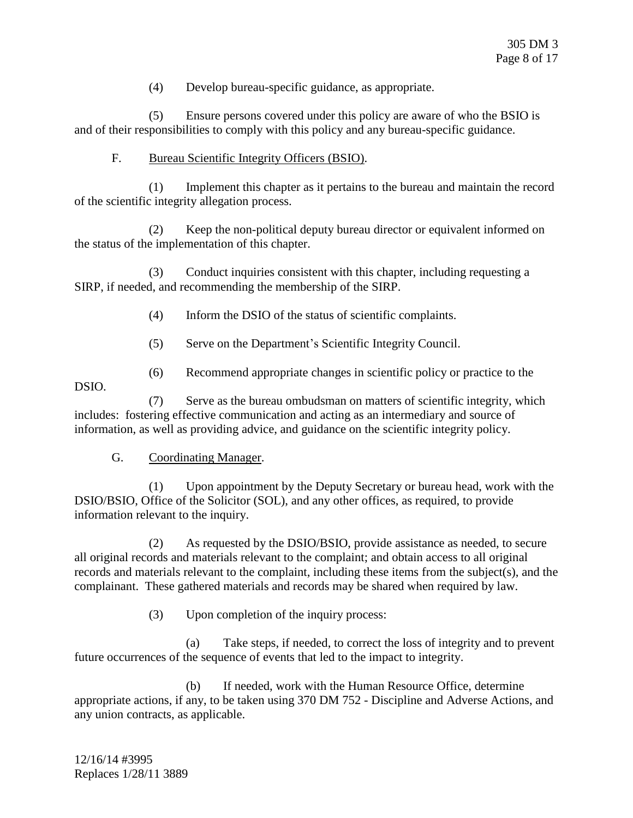(4) Develop bureau-specific guidance, as appropriate.

(5) Ensure persons covered under this policy are aware of who the BSIO is and of their responsibilities to comply with this policy and any bureau-specific guidance.

### F. Bureau Scientific Integrity Officers (BSIO).

(1) Implement this chapter as it pertains to the bureau and maintain the record of the scientific integrity allegation process.

(2) Keep the non-political deputy bureau director or equivalent informed on the status of the implementation of this chapter.

(3) Conduct inquiries consistent with this chapter, including requesting a SIRP, if needed, and recommending the membership of the SIRP.

- (4) Inform the DSIO of the status of scientific complaints.
- (5) Serve on the Department's Scientific Integrity Council.
- (6) Recommend appropriate changes in scientific policy or practice to the

DSIO.

(7) Serve as the bureau ombudsman on matters of scientific integrity, which includes: fostering effective communication and acting as an intermediary and source of information, as well as providing advice, and guidance on the scientific integrity policy.

### G. Coordinating Manager.

(1) Upon appointment by the Deputy Secretary or bureau head, work with the DSIO/BSIO, Office of the Solicitor (SOL), and any other offices, as required, to provide information relevant to the inquiry.

(2) As requested by the DSIO/BSIO, provide assistance as needed, to secure all original records and materials relevant to the complaint; and obtain access to all original records and materials relevant to the complaint, including these items from the subject(s), and the complainant. These gathered materials and records may be shared when required by law.

(3) Upon completion of the inquiry process:

(a) Take steps, if needed, to correct the loss of integrity and to prevent future occurrences of the sequence of events that led to the impact to integrity.

(b) If needed, work with the Human Resource Office, determine appropriate actions, if any, to be taken using 370 DM 752 - Discipline and Adverse Actions, and any union contracts, as applicable.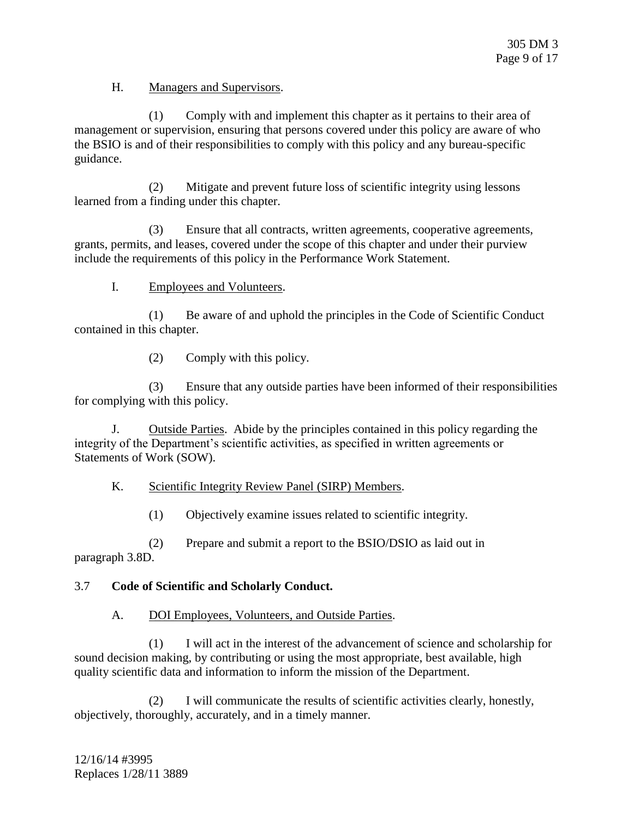H. Managers and Supervisors.

(1) Comply with and implement this chapter as it pertains to their area of management or supervision, ensuring that persons covered under this policy are aware of who the BSIO is and of their responsibilities to comply with this policy and any bureau-specific guidance.

(2) Mitigate and prevent future loss of scientific integrity using lessons learned from a finding under this chapter.

(3) Ensure that all contracts, written agreements, cooperative agreements, grants, permits, and leases, covered under the scope of this chapter and under their purview include the requirements of this policy in the Performance Work Statement.

I. Employees and Volunteers.

(1) Be aware of and uphold the principles in the Code of Scientific Conduct contained in this chapter.

(2) Comply with this policy.

(3) Ensure that any outside parties have been informed of their responsibilities for complying with this policy.

J. Outside Parties. Abide by the principles contained in this policy regarding the integrity of the Department's scientific activities, as specified in written agreements or Statements of Work (SOW).

### K. Scientific Integrity Review Panel (SIRP) Members.

(1) Objectively examine issues related to scientific integrity.

(2) Prepare and submit a report to the BSIO/DSIO as laid out in paragraph 3.8D.

#### 3.7 **Code of Scientific and Scholarly Conduct.**

A. DOI Employees, Volunteers, and Outside Parties.

(1) I will act in the interest of the advancement of science and scholarship for sound decision making, by contributing or using the most appropriate, best available, high quality scientific data and information to inform the mission of the Department.

(2) I will communicate the results of scientific activities clearly, honestly, objectively, thoroughly, accurately, and in a timely manner.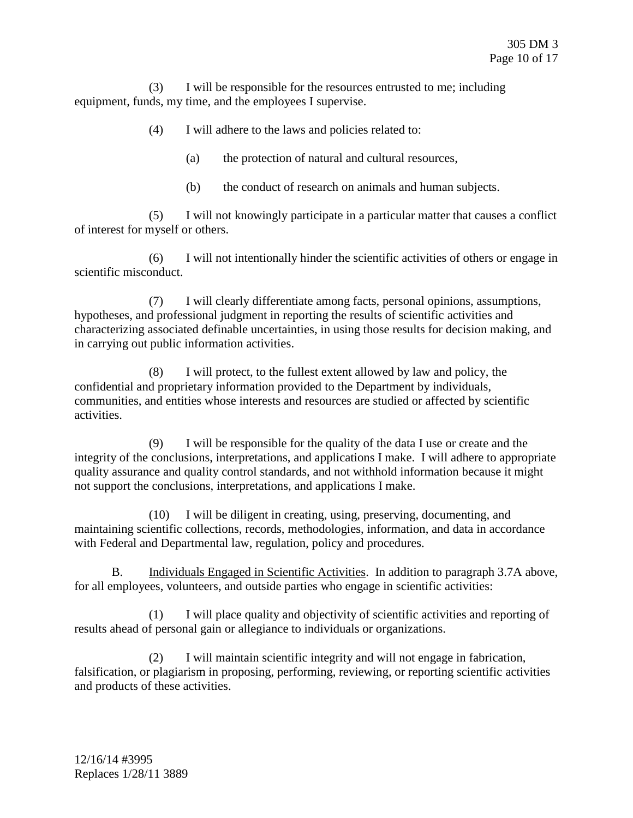(3) I will be responsible for the resources entrusted to me; including equipment, funds, my time, and the employees I supervise.

- (4) I will adhere to the laws and policies related to:
	- (a) the protection of natural and cultural resources,
	- (b) the conduct of research on animals and human subjects.

(5) I will not knowingly participate in a particular matter that causes a conflict of interest for myself or others.

(6) I will not intentionally hinder the scientific activities of others or engage in scientific misconduct.

(7) I will clearly differentiate among facts, personal opinions, assumptions, hypotheses, and professional judgment in reporting the results of scientific activities and characterizing associated definable uncertainties, in using those results for decision making, and in carrying out public information activities.

(8) I will protect, to the fullest extent allowed by law and policy, the confidential and proprietary information provided to the Department by individuals, communities, and entities whose interests and resources are studied or affected by scientific activities.

(9) I will be responsible for the quality of the data I use or create and the integrity of the conclusions, interpretations, and applications I make. I will adhere to appropriate quality assurance and quality control standards, and not withhold information because it might not support the conclusions, interpretations, and applications I make.

(10) I will be diligent in creating, using, preserving, documenting, and maintaining scientific collections, records, methodologies, information, and data in accordance with Federal and Departmental law, regulation, policy and procedures.

B. Individuals Engaged in Scientific Activities. In addition to paragraph 3.7A above, for all employees, volunteers, and outside parties who engage in scientific activities:

(1) I will place quality and objectivity of scientific activities and reporting of results ahead of personal gain or allegiance to individuals or organizations.

(2) I will maintain scientific integrity and will not engage in fabrication, falsification, or plagiarism in proposing, performing, reviewing, or reporting scientific activities and products of these activities.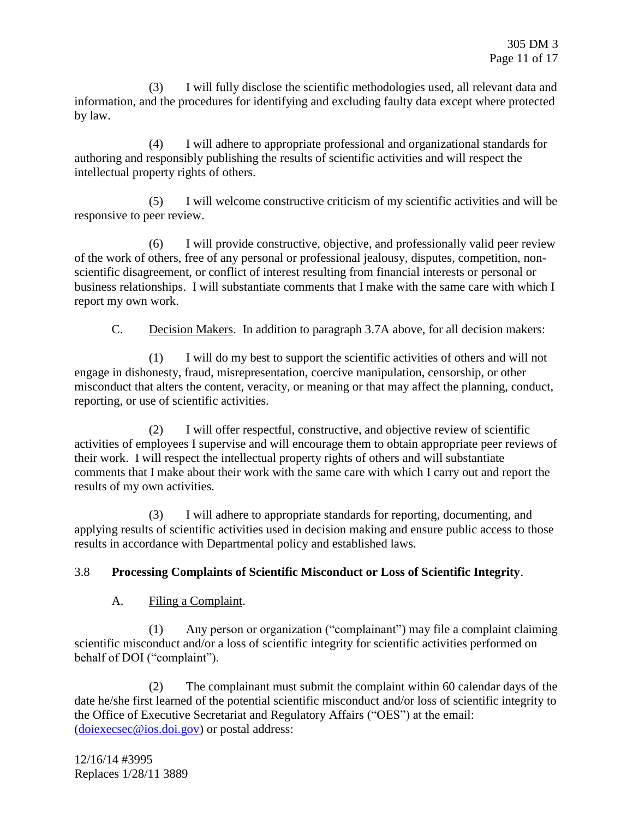(3) I will fully disclose the scientific methodologies used, all relevant data and information, and the procedures for identifying and excluding faulty data except where protected by law.

(4) I will adhere to appropriate professional and organizational standards for authoring and responsibly publishing the results of scientific activities and will respect the intellectual property rights of others.

(5) I will welcome constructive criticism of my scientific activities and will be responsive to peer review.

(6) I will provide constructive, objective, and professionally valid peer review of the work of others, free of any personal or professional jealousy, disputes, competition, nonscientific disagreement, or conflict of interest resulting from financial interests or personal or business relationships. I will substantiate comments that I make with the same care with which I report my own work.

C. Decision Makers. In addition to paragraph 3.7A above, for all decision makers:

(1) I will do my best to support the scientific activities of others and will not engage in dishonesty, fraud, misrepresentation, coercive manipulation, censorship, or other misconduct that alters the content, veracity, or meaning or that may affect the planning, conduct, reporting, or use of scientific activities.

(2) I will offer respectful, constructive, and objective review of scientific activities of employees I supervise and will encourage them to obtain appropriate peer reviews of their work. I will respect the intellectual property rights of others and will substantiate comments that I make about their work with the same care with which I carry out and report the results of my own activities.

(3) I will adhere to appropriate standards for reporting, documenting, and applying results of scientific activities used in decision making and ensure public access to those results in accordance with Departmental policy and established laws.

# 3.8 **Processing Complaints of Scientific Misconduct or Loss of Scientific Integrity**.

# A. Filing a Complaint.

(1) Any person or organization ("complainant") may file a complaint claiming scientific misconduct and/or a loss of scientific integrity for scientific activities performed on behalf of DOI ("complaint").

(2) The complainant must submit the complaint within 60 calendar days of the date he/she first learned of the potential scientific misconduct and/or loss of scientific integrity to the Office of Executive Secretariat and Regulatory Affairs ("OES") at the email: [\(doiexecsec@ios.doi.gov\)](mailto:doiexecsec@ios.doi.gov) or postal address: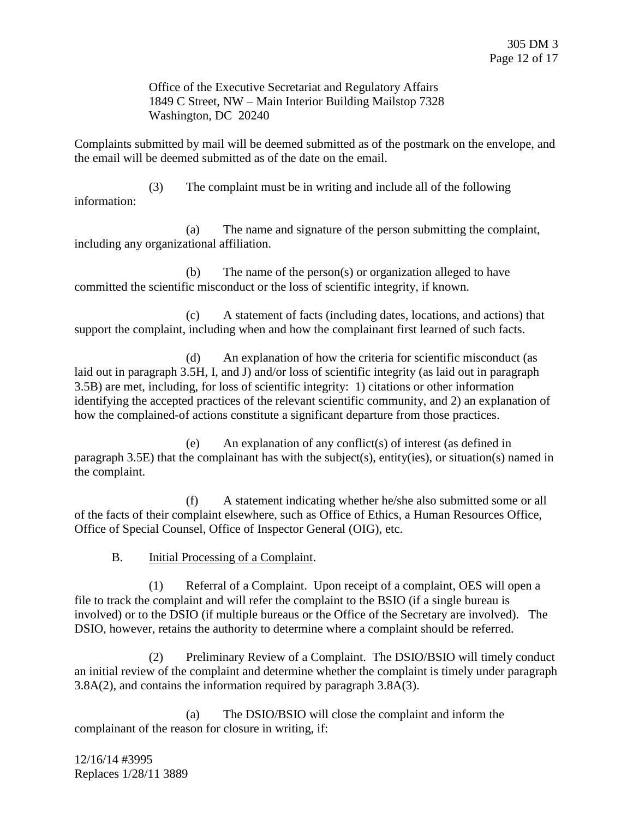Office of the Executive Secretariat and Regulatory Affairs 1849 C Street, NW – Main Interior Building Mailstop 7328 Washington, DC 20240

Complaints submitted by mail will be deemed submitted as of the postmark on the envelope, and the email will be deemed submitted as of the date on the email.

(3) The complaint must be in writing and include all of the following information:

(a) The name and signature of the person submitting the complaint, including any organizational affiliation.

(b) The name of the person(s) or organization alleged to have committed the scientific misconduct or the loss of scientific integrity, if known.

(c) A statement of facts (including dates, locations, and actions) that support the complaint, including when and how the complainant first learned of such facts.

(d) An explanation of how the criteria for scientific misconduct (as laid out in paragraph 3.5H, I, and J) and/or loss of scientific integrity (as laid out in paragraph 3.5B) are met, including, for loss of scientific integrity: 1) citations or other information identifying the accepted practices of the relevant scientific community, and 2) an explanation of how the complained-of actions constitute a significant departure from those practices.

(e) An explanation of any conflict(s) of interest (as defined in paragraph 3.5E) that the complainant has with the subject(s), entity(ies), or situation(s) named in the complaint.

(f) A statement indicating whether he/she also submitted some or all of the facts of their complaint elsewhere, such as Office of Ethics, a Human Resources Office, Office of Special Counsel, Office of Inspector General (OIG), etc.

B. Initial Processing of a Complaint.

(1) Referral of a Complaint. Upon receipt of a complaint, OES will open a file to track the complaint and will refer the complaint to the BSIO (if a single bureau is involved) or to the DSIO (if multiple bureaus or the Office of the Secretary are involved). The DSIO, however, retains the authority to determine where a complaint should be referred.

(2) Preliminary Review of a Complaint. The DSIO/BSIO will timely conduct an initial review of the complaint and determine whether the complaint is timely under paragraph 3.8A(2), and contains the information required by paragraph 3.8A(3).

(a) The DSIO/BSIO will close the complaint and inform the complainant of the reason for closure in writing, if: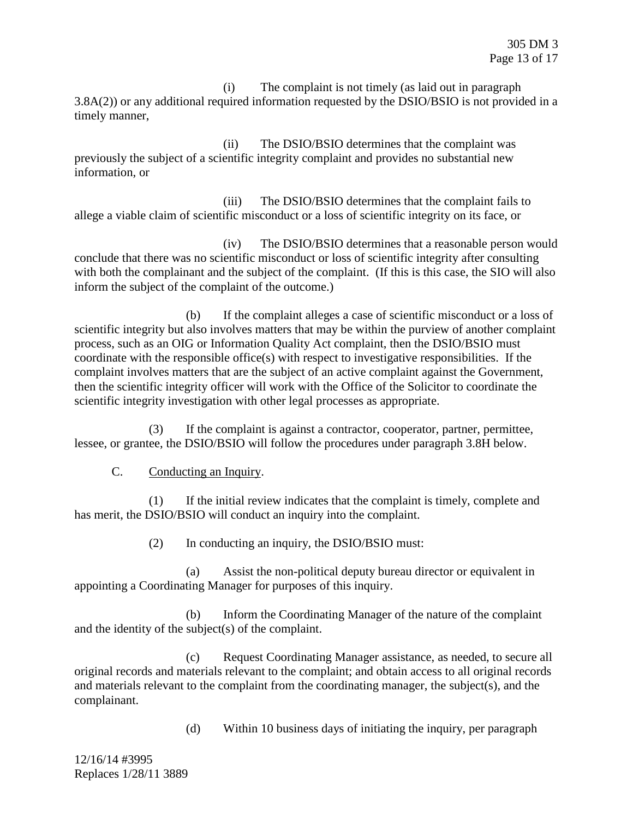(i) The complaint is not timely (as laid out in paragraph 3.8A(2)) or any additional required information requested by the DSIO/BSIO is not provided in a timely manner,

(ii) The DSIO/BSIO determines that the complaint was previously the subject of a scientific integrity complaint and provides no substantial new information, or

(iii) The DSIO/BSIO determines that the complaint fails to allege a viable claim of scientific misconduct or a loss of scientific integrity on its face, or

(iv) The DSIO/BSIO determines that a reasonable person would conclude that there was no scientific misconduct or loss of scientific integrity after consulting with both the complainant and the subject of the complaint. (If this is this case, the SIO will also inform the subject of the complaint of the outcome.)

(b) If the complaint alleges a case of scientific misconduct or a loss of scientific integrity but also involves matters that may be within the purview of another complaint process, such as an OIG or Information Quality Act complaint, then the DSIO/BSIO must coordinate with the responsible office(s) with respect to investigative responsibilities. If the complaint involves matters that are the subject of an active complaint against the Government, then the scientific integrity officer will work with the Office of the Solicitor to coordinate the scientific integrity investigation with other legal processes as appropriate.

(3) If the complaint is against a contractor, cooperator, partner, permittee, lessee, or grantee, the DSIO/BSIO will follow the procedures under paragraph 3.8H below.

C. Conducting an Inquiry.

(1) If the initial review indicates that the complaint is timely, complete and has merit, the DSIO/BSIO will conduct an inquiry into the complaint.

(2) In conducting an inquiry, the DSIO/BSIO must:

(a) Assist the non-political deputy bureau director or equivalent in appointing a Coordinating Manager for purposes of this inquiry.

(b) Inform the Coordinating Manager of the nature of the complaint and the identity of the subject(s) of the complaint.

(c) Request Coordinating Manager assistance, as needed, to secure all original records and materials relevant to the complaint; and obtain access to all original records and materials relevant to the complaint from the coordinating manager, the subject(s), and the complainant.

(d) Within 10 business days of initiating the inquiry, per paragraph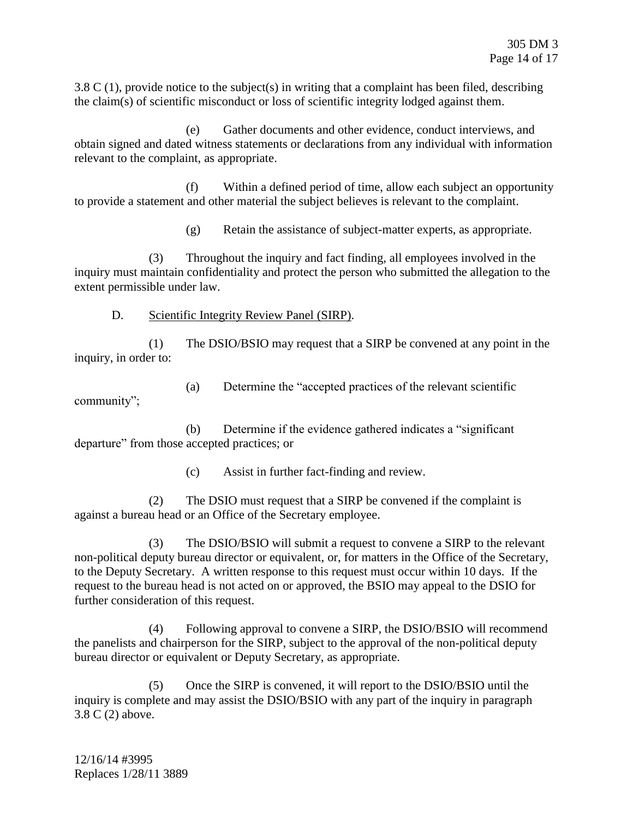3.8 C (1), provide notice to the subject(s) in writing that a complaint has been filed, describing the claim(s) of scientific misconduct or loss of scientific integrity lodged against them.

(e) Gather documents and other evidence, conduct interviews, and obtain signed and dated witness statements or declarations from any individual with information relevant to the complaint, as appropriate.

(f) Within a defined period of time, allow each subject an opportunity to provide a statement and other material the subject believes is relevant to the complaint.

(g) Retain the assistance of subject-matter experts, as appropriate.

(3) Throughout the inquiry and fact finding, all employees involved in the inquiry must maintain confidentiality and protect the person who submitted the allegation to the extent permissible under law.

D. Scientific Integrity Review Panel (SIRP).

(1) The DSIO/BSIO may request that a SIRP be convened at any point in the inquiry, in order to:

(a) Determine the "accepted practices of the relevant scientific community";

(b) Determine if the evidence gathered indicates a "significant departure" from those accepted practices; or

(c) Assist in further fact-finding and review.

(2) The DSIO must request that a SIRP be convened if the complaint is against a bureau head or an Office of the Secretary employee.

(3) The DSIO/BSIO will submit a request to convene a SIRP to the relevant non-political deputy bureau director or equivalent, or, for matters in the Office of the Secretary, to the Deputy Secretary. A written response to this request must occur within 10 days. If the request to the bureau head is not acted on or approved, the BSIO may appeal to the DSIO for further consideration of this request.

(4) Following approval to convene a SIRP, the DSIO/BSIO will recommend the panelists and chairperson for the SIRP, subject to the approval of the non-political deputy bureau director or equivalent or Deputy Secretary, as appropriate.

(5) Once the SIRP is convened, it will report to the DSIO/BSIO until the inquiry is complete and may assist the DSIO/BSIO with any part of the inquiry in paragraph 3.8 C (2) above.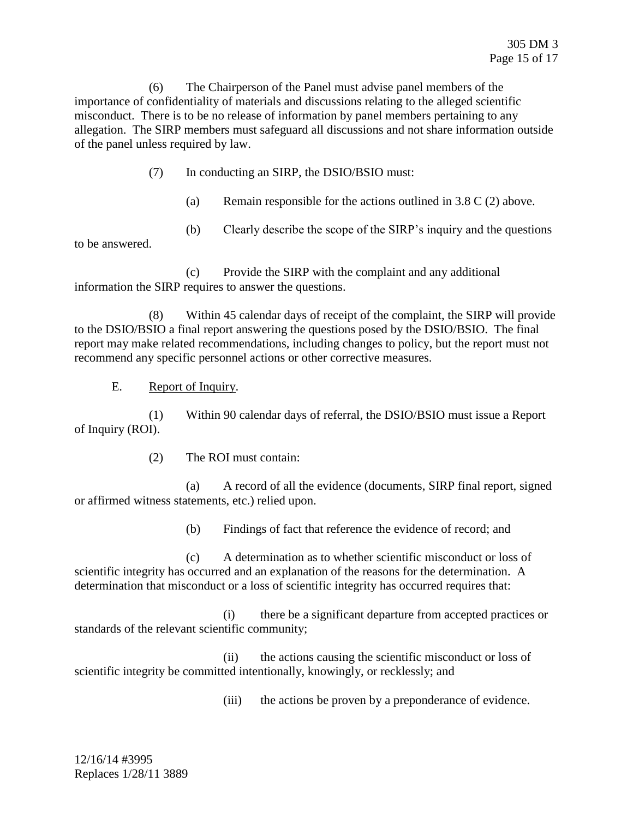(6) The Chairperson of the Panel must advise panel members of the importance of confidentiality of materials and discussions relating to the alleged scientific misconduct. There is to be no release of information by panel members pertaining to any allegation. The SIRP members must safeguard all discussions and not share information outside of the panel unless required by law.

- (7) In conducting an SIRP, the DSIO/BSIO must:
	- (a) Remain responsible for the actions outlined in  $3.8 \text{ C}$  (2) above.
	- (b) Clearly describe the scope of the SIRP's inquiry and the questions

to be answered.

(c) Provide the SIRP with the complaint and any additional information the SIRP requires to answer the questions.

(8) Within 45 calendar days of receipt of the complaint, the SIRP will provide to the DSIO/BSIO a final report answering the questions posed by the DSIO/BSIO. The final report may make related recommendations, including changes to policy, but the report must not recommend any specific personnel actions or other corrective measures.

E. Report of Inquiry.

(1) Within 90 calendar days of referral, the DSIO/BSIO must issue a Report of Inquiry (ROI).

(2) The ROI must contain:

(a) A record of all the evidence (documents, SIRP final report, signed or affirmed witness statements, etc.) relied upon.

(b) Findings of fact that reference the evidence of record; and

(c) A determination as to whether scientific misconduct or loss of scientific integrity has occurred and an explanation of the reasons for the determination. A determination that misconduct or a loss of scientific integrity has occurred requires that:

(i) there be a significant departure from accepted practices or standards of the relevant scientific community;

(ii) the actions causing the scientific misconduct or loss of scientific integrity be committed intentionally, knowingly, or recklessly; and

(iii) the actions be proven by a preponderance of evidence.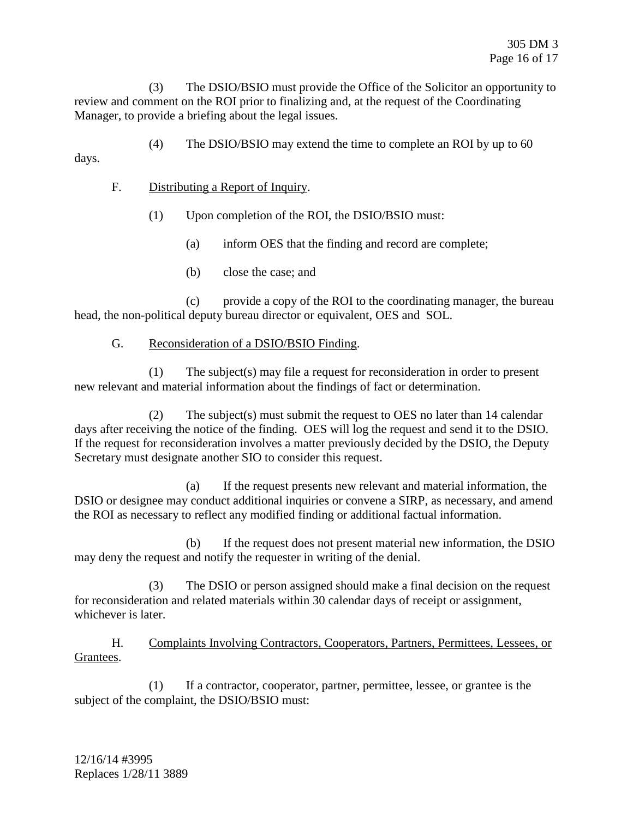(3) The DSIO/BSIO must provide the Office of the Solicitor an opportunity to review and comment on the ROI prior to finalizing and, at the request of the Coordinating Manager, to provide a briefing about the legal issues.

(4) The DSIO/BSIO may extend the time to complete an ROI by up to 60

days.

F. Distributing a Report of Inquiry.

(1) Upon completion of the ROI, the DSIO/BSIO must:

(a) inform OES that the finding and record are complete;

(b) close the case; and

(c) provide a copy of the ROI to the coordinating manager, the bureau head, the non-political deputy bureau director or equivalent, OES and SOL.

#### G. Reconsideration of a DSIO/BSIO Finding.

(1) The subject(s) may file a request for reconsideration in order to present new relevant and material information about the findings of fact or determination.

(2) The subject(s) must submit the request to OES no later than 14 calendar days after receiving the notice of the finding. OES will log the request and send it to the DSIO. If the request for reconsideration involves a matter previously decided by the DSIO, the Deputy Secretary must designate another SIO to consider this request.

(a) If the request presents new relevant and material information, the DSIO or designee may conduct additional inquiries or convene a SIRP, as necessary, and amend the ROI as necessary to reflect any modified finding or additional factual information.

(b) If the request does not present material new information, the DSIO may deny the request and notify the requester in writing of the denial.

(3) The DSIO or person assigned should make a final decision on the request for reconsideration and related materials within 30 calendar days of receipt or assignment, whichever is later.

H. Complaints Involving Contractors, Cooperators, Partners, Permittees, Lessees, or Grantees.

(1) If a contractor, cooperator, partner, permittee, lessee, or grantee is the subject of the complaint, the DSIO/BSIO must: